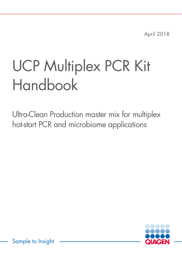April 2018

# UCP Multiplex PCR Kit Handbook

Ultra-Clean Production master mix for multiplex hot-start PCR and microbiome applications



Sample to Insight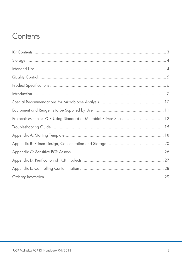### Contents

| Protocol: Multiplex PCR Using Standard or Microbial Primer Sets  12 |  |
|---------------------------------------------------------------------|--|
|                                                                     |  |
|                                                                     |  |
|                                                                     |  |
|                                                                     |  |
|                                                                     |  |
|                                                                     |  |
|                                                                     |  |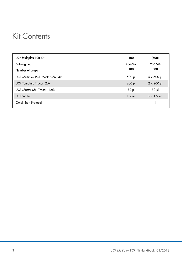### Kit Contents

| <b>UCP Multiplex PCR Kit</b>     | (100)       | (500)              |
|----------------------------------|-------------|--------------------|
| Catalog no.                      | 206742      | 206744             |
| Number of preps                  | 100         | 500                |
| UCP Multiplex PCR Master Mix, 4x | $500$ $\mu$ | $5 \times 500 \mu$ |
| UCP Template Tracer, 25x         | $200$ $\mu$ | $2 \times 200 \mu$ |
| UCP Master Mix Tracer, 125x      | $50$ $\mu$  | $50$ $\mu$         |
| <b>UCP Water</b>                 | $1.9$ ml    | $5 \times 1.9$ ml  |
| Quick Start Protocol             |             |                    |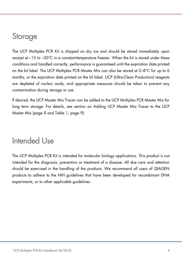### Storage

The UCP Multiplex PCR Kit is shipped on dry ice and should be stored immediately upon receipt at –15 to –30°C in a constant-temperature freezer. When the kit is stored under these conditions and handled correctly, performance is guaranteed until the expiration date printed on the kit label. The UCP Multiplex PCR Master Mix can also be stored at 2–8°C for up to 6 months, or the expiration date printed on the kit label. UCP (Ultra-Clean Production) reagents are depleted of nucleic acids, and appropriate measures should be taken to prevent any contamination during storage or use.

If desired, the UCP Master Mix Tracer can be added to the UCP Multiplex PCR Master Mix for long term storage. For details, see section on Adding UCP Master Mix Tracer to the UCP Master Mix (page 8 and Table 1, page 9).

### Intended Use

The UCP Multiplex PCR Kit is intended for molecular biology applications. This product is not intended for the diagnosis, prevention or treatment of a disease. All due care and attention should be exercised in the handling of the products. We recommend all users of QIAGEN products to adhere to the NIH guidelines that have been developed for recombinant DNA experiments, or to other applicable guidelines.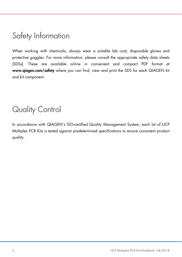### Safety Information

When working with chemicals, always wear a suitable lab coat, disposable gloves and protective goggles. For more information, please consult the appropriate safety data sheets (SDSs). These are available online in convenient and compact PDF format at www.qiagen.com/safety where you can find, view and print the SDS for each QIAGEN kit and kit component.

# Quality Control

In accordance with QIAGEN's ISO-certified Quality Management System, each lot of UCP Multiplex PCR Kits is tested against predetermined specifications to ensure consistent product quality.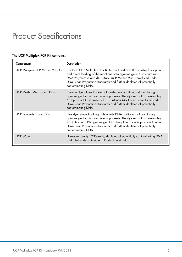## Product Specifications

### The UCP Multiplex PCR Kit contains:

| Component                        | <b>Description</b>                                                                                                                                                                                                                                                                                               |
|----------------------------------|------------------------------------------------------------------------------------------------------------------------------------------------------------------------------------------------------------------------------------------------------------------------------------------------------------------|
| UCP Multiplex PCR Master Mix, 4x | Contains UCP Multiplex PCR Buffer and additives that enable fast cycling<br>and direct loading of the reactions onto agarose gels. Also contains<br>DNA Polymerase and dNTP-Mix. UCP Master Mix is produced under<br>Ultra-Clean Production standards and further depleted of potentially<br>contaminating DNA.  |
| UCP Master Mix Tracer, 125x      | Orange dye allows tracking of master mix addition and monitoring of<br>agarose gel loading and electrophoresis. The dye runs at approximately<br>50 bp on a 1% agarose gel. UCP Master Mix tracer is produced under<br>Ultra-Clean Production standards and further depleted of potentially<br>contaminating DNA |
| UCP Template Tracer, 25x         | Blue dye allows tracking of template DNA addition and monitoring of<br>agarose gel loading and electrophoresis. The dye runs at approximately<br>4000 bp on a 1% agarose gel. UCP Template tracer is produced under<br>Ultra-Clean Production standards and further depleted of potentially<br>contaminating DNA |
| <b>UCP Water</b>                 | Ultrapure quality, PCR-grade, depleted of potentially contaminating DNA<br>and filled under Ultra-Clean Production standards.                                                                                                                                                                                    |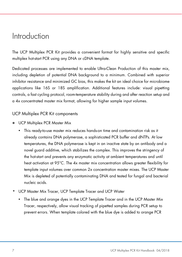### Introduction

The UCP Multiplex PCR Kit provides a convenient format for highly sensitive and specific multiplex hot-start PCR using any DNA or cDNA template.

Dedicated processes are implemented to enable Ultra-Clean Production of this master mix, including depletion of potential DNA background to a minimum. Combined with superior inhibitor resistance and minimized GC bias, this makes the kit an ideal choice for microbiome applications like 16S or 18S amplification. Additional features include: visual pipetting controls, a fast cycling protocol, room-temperature stability during and after reaction setup and a 4x concentrated master mix format, allowing for higher sample input volumes.

#### UCP Multiplex PCR Kit components

- **UCP Multiplex PCR Master Mix** 
	- This ready-to-use master mix reduces hands-on time and contamination risk as it already contains DNA polymerase, a sophisticated PCR buffer and dNTPs. At low temperatures, the DNA polymerase is kept in an inactive state by an antibody and a novel guard additive, which stabilizes the complex. This improves the stringency of the hot-start and prevents any enzymatic activity at ambient temperatures and until heat activation at 95°C. The 4x master mix concentration allows greater flexibility for template input volumes over common 2x concentration master mixes. The UCP Master Mix is depleted of potentially contaminating DNA and tested for fungal and bacterial nucleic acids.
- UCP Master Mix Tracer, UCP Template Tracer and UCP Water
	- The blue and orange dyes in the UCP Template Tracer and in the UCP Master Mix Tracer, respectively, allow visual tracking of pipetted samples during PCR setup to prevent errors. When template colored with the blue dye is added to orange PCR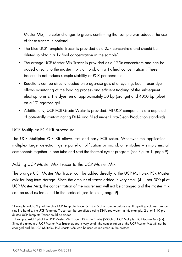Master Mix, the color changes to green, confirming that sample was added. The use of these tracers is optional.

- The blue UCP Template Tracer is provided as a 25x concentrate and should be diluted to obtain a 1x final concentration in the sample\* .
- The orange UCP Master Mix Tracer is provided as a 125x concentrate and can be added directly to the master mix vial to obtain a 1x final concentration† . These tracers do not reduce sample stability or PCR performance.
- Reactions can be directly loaded onto agarose gels after cycling. Each tracer dye allows monitoring of the loading process and efficient tracking of the subsequent electrophoresis. The dyes run at approximately 50 bp (orange) and 4000 bp (blue) on a 1% agarose gel.
- Additionally, UCP PCR-Grade Water is provided. All UCP components are depleted of potentially contaminating DNA and filled under Ultra-Clean Production standards

#### UCP Multiplex PCR Kit procedure

The UCP Multiplex PCR Kit allows fast and easy PCR setup. Whatever the application – multiplex target detection, gene panel amplification or microbiome studies – simply mix all components together in one tube and start the thermal cycler program (see Figure 1, page 9).

#### Adding UCP Master Mix Tracer to the UCP Master Mix

The orange UCP Master Mix Tracer can be added directly to the UCP Multiplex PCR Master Mix for long-term storage. Since the amount of tracer added is very small (4 µl per 500 µl of UCP Master Mix), the concentration of the master mix will not be changed and the master mix can be used as indicated in the protocol (see Table 1, page 9).

<sup>\*</sup> Example: add 0.2 μl of the blue UCP Template Tracer (25x) to 5 μl of sample before use. If pipetting volumes are too small to handle, the UCP Template Tracer can be pre-diluted using DNA-free water. In this example, 2 μl of 1:10 prediluted UCP Template Tracer could be added

<sup>†</sup> Example: Add 4 μl of the UCP Master Mix Tracer (125x) to 1 tube (500μl) of UCP Multiplex PCR Master Mix (4x). Since the amount of UCP Master Mix Tracer added is very small, the concentration of the UCP Master Mix will not be changed and the UCP Multiplex PCR Master Mix can be used as indicated in the protocol.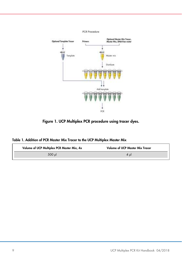

Figure 1. UCP Multiplex PCR procedure using tracer dyes.

|  |  | Table 1. Addition of PCR Master Mix Tracer to the UCP Multiplex Master Mix |  |  |  |  |  |  |  |  |
|--|--|----------------------------------------------------------------------------|--|--|--|--|--|--|--|--|
|--|--|----------------------------------------------------------------------------|--|--|--|--|--|--|--|--|

| Volume of UCP Multiplex PCR Master Mix, 4x | <b>Volume of UCP Master Mix Tracer</b> |
|--------------------------------------------|----------------------------------------|
| 500 ul                                     | 4 ul                                   |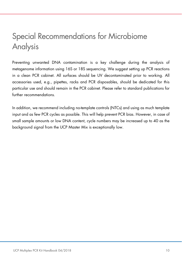## Special Recommendations for Microbiome Analysis

Preventing unwanted DNA contamination is a key challenge during the analysis of metagenome information using 16S or 18S sequencing. We suggest setting up PCR reactions in a clean PCR cabinet. All surfaces should be UV decontaminated prior to working. All accessories used, e.g., pipettes, racks and PCR disposables, should be dedicated for this particular use and should remain in the PCR cabinet. Please refer to standard publications for further recommendations.

In addition, we recommend including no-template controls (NTCs) and using as much template input and as few PCR cycles as possible. This will help prevent PCR bias. However, in case of small sample amounts or low DNA content, cycle numbers may be increased up to 40 as the background signal from the UCP Master Mix is exceptionally low.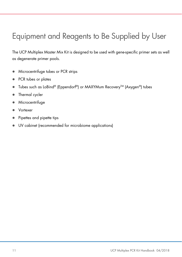# Equipment and Reagents to Be Supplied by User

The UCP Multiplex Master Mix Kit is designed to be used with gene-specific primer sets as well as degenerate primer pools.

- **Microcentrifuge tubes or PCR strips**
- PCR tubes or plates
- Tubes such as LoBind® (Eppendorf®) or MAXYMum Recovery™ (Axygen®) tubes
- Thermal cycler
- **Microcentrifuge**
- Vortexer
- Pipettes and pipette tips
- UV cabinet (recommended for microbiome applications)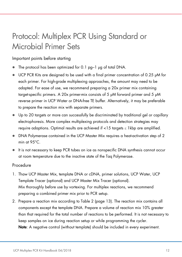### Protocol: Multiplex PCR Using Standard or Microbial Primer Sets

Important points before starting

- The protocol has been optimized for 0.1 pg–1 μg of total DNA.
- UCP PCR Kits are designed to be used with a final primer concentration of 0.25 µM for each primer. For high-grade multiplexing approaches, the amount may need to be adapted. For ease of use, we recommend preparing a 20x primer mix containing target-specific primers. A 20x primer-mix consists of 5 μM forward primer and 5 μM reverse primer in UCP Water or DNA-free TE buffer. Alternatively, it may be preferable to prepare the reaction mix with separate primers.
- Up to 20 targets or more can successfully be discriminated by traditional gel or capillary electrophoresis. More complex multiplexing protocols and detection strategies may require adaptions. Optimal results are achieved if  $<$ 15 targets  $\leq$  1 kbp are amplified.
- DNA Polymerase contained in the UCP Master Mix requires a heat-activation step of 2 min at 95°C.
- It is not necessary to keep PCR tubes on ice as nonspecific DNA synthesis cannot occur at room temperature due to the inactive state of the Taq Polymerase.

#### **Procedure**

- 1. Thaw UCP Master Mix, template DNA or cDNA, primer solutions, UCP Water, UCP Template Tracer (optional) and UCP Master Mix Tracer (optional). Mix thoroughly before use by vortexing. For multiplex reactions, we recommend preparing a combined primer mix prior to PCR setup.
- 2. Prepare a reaction mix according to Table 2 (page 13). The reaction mix contains all components except the template DNA. Prepare a volume of reaction mix 10% greater than that required for the total number of reactions to be performed. It is not necessary to keep samples on ice during reaction setup or while programming the cycler. Note: A negative control (without template) should be included in every experiment.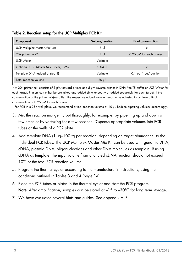|  |  |  | Table 2. Reaction setup for the UCP Multiplex PCR Kit |  |
|--|--|--|-------------------------------------------------------|--|
|--|--|--|-------------------------------------------------------|--|

| Component                             | Volume/reaction       | <b>Final concentration</b>   |
|---------------------------------------|-----------------------|------------------------------|
| UCP Multiplex Master Mix, 4x          | $5 \mu$               | 1x                           |
| 20x primer mix*                       | ار 1                  | $0.25 \mu M$ for each primer |
| <b>UCP Water</b>                      | Variable              |                              |
| Optional: UCP Master Mix Tracer, 125x | $0.04$ pl             | $\mathsf{I}\mathsf{x}$       |
| Template DNA (added at step 4)        | Variable              | 0.1 $pg-1$ $\mu$ g/reaction  |
| Total reaction volume                 | $20 \mu$ <sup>†</sup> |                              |

\* A 20x primer mix consists of 5 μM forward primer and 5 μM reverse primer in DNA-free TE buffer or UCP Water for each target. Primers can either be pre-mixed and added simultaneously or added separately for each target. If the concentration of the primer mix(es) differ, the respective added volume needs to be adjusted to achieve a final concentration of 0.25 μM for each primer.

† For PCR in a 384-well plate, we recommend a final reaction volume of 10 µl. Reduce pipetting volumes accordingly.

- 3. Mix the reaction mix gently but thoroughly, for example, by pipetting up and down a few times or by vortexing for a few seconds. Dispense appropriate volumes into PCR tubes or the wells of a PCR plate.
- 4. Add template DNA (1 µg–100 fg per reaction, depending on target abundance) to the individual PCR tubes. The UCP Multiplex Master Mix Kit can be used with genomic DNA, cDNA, plasmid DNA, oligonucleotides and other DNA molecules as template. If using cDNA as template, the input volume from undiluted cDNA reaction should not exceed 10% of the total PCR reaction volume.
- 5. Program the thermal cycler according to the manufacturer's instructions, using the conditions outlined in Tables 3 and 4 (page 14).
- 6. Place the PCR tubes or plates in the thermal cycler and start the PCR program. Note: After amplification, samples can be stored at  $-15$  to  $-30^{\circ}$ C for long term storage.
- 7. We have evaluated several hints and guides. See appendix A–E.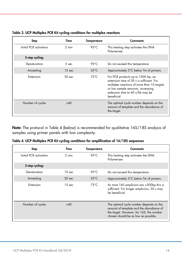| Step                   | Time              | <b>Temperature</b> | Comments                                                                                                                                                                                                               |
|------------------------|-------------------|--------------------|------------------------------------------------------------------------------------------------------------------------------------------------------------------------------------------------------------------------|
| Initial PCR activation | 2 min             | 95 $°C$            | This heating step activates the DNA<br>Polymerase.                                                                                                                                                                     |
| 3-step cycling:        |                   |                    |                                                                                                                                                                                                                        |
| Denaturation           | 5 <sub>sec</sub>  | $95^{\circ}$ C     | Do not exceed this temperature.                                                                                                                                                                                        |
| Annealing              | $15 \text{ sec}$  | $55^{\circ}$ C     | Approximately 5°C below Tm of primers.                                                                                                                                                                                 |
| Extension              | 30 <sub>sec</sub> | $72^{\circ}$ C     | For PCR products up to 1000 bp, an<br>extension time of 30 s is sufficient. For<br>multiplex reactions of more than 10 targets<br>or low sample amounts, increasing<br>extension time to 60 s/kb may be<br>beneficial. |
| Number of cycles       | $<$ 40            |                    | The optimal cycle number depends on the<br>amount of template and the abundance of<br>the target.                                                                                                                      |

| Table 3. UCP Multiplex PCR Kit cycling conditions for multiplex reactions |
|---------------------------------------------------------------------------|
|---------------------------------------------------------------------------|

Note: The protocol in Table 4 (below) is recommended for qualitative 16S/18S analysis of samples using primer panels with low complexity.

| Table 4. UCP Multiplex PCR Kit cycling conditions for amplification of 16/18S sequences |  |  |  |  |
|-----------------------------------------------------------------------------------------|--|--|--|--|
|-----------------------------------------------------------------------------------------|--|--|--|--|

| Step                   | Time              | Temperature    | Comments                                                                                                                                                               |
|------------------------|-------------------|----------------|------------------------------------------------------------------------------------------------------------------------------------------------------------------------|
| Initial PCR activation | 2 min             | $95^{\circ}$ C | This heating step activates the DNA<br>Polymerase.                                                                                                                     |
| 3-step cycling:        |                   |                |                                                                                                                                                                        |
| Denaturation           | 10 sec            | $95^{\circ}$ C | Do not exceed this temperature.                                                                                                                                        |
| Annealing              | 30 <sub>sec</sub> | $55^{\circ}$ C | Approximately 5°C below Tm of primers.                                                                                                                                 |
| Extension              | 15 <sub>sec</sub> | $72^{\circ}$ C | As most 16S amplicons are <500bp this is<br>sufficient. For longer amplicons, 30 s may<br>be beneficial                                                                |
| Number of cycles       | $<$ 40            |                | The optimal cycle number depends on the<br>amount of template and the abundance of<br>the target. However, for 16S, the number<br>chosen should be as low as possible. |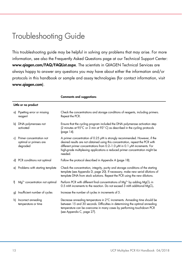### Troubleshooting Guide

This troubleshooting guide may be helpful in solving any problems that may arise. For more information, see also the Frequently Asked Questions page at our Technical Support Center: www.qiagen.com/FAQ/FAQList.aspx. The scientists in QIAGEN Technical Services are always happy to answer any questions you may have about either the information and/or protocols in this handbook or sample and assay technologies (for contact information, visit www.qiagen.com).

|    | Little or no product                                           |                                                                                                                                                                                                                                                                                                                                      |  |  |  |  |  |
|----|----------------------------------------------------------------|--------------------------------------------------------------------------------------------------------------------------------------------------------------------------------------------------------------------------------------------------------------------------------------------------------------------------------------|--|--|--|--|--|
|    | a) Pipetting error or missing<br>reagent                       | Check the concentrations and storage conditions of reagents, including primers.<br>Repeat the PCR.                                                                                                                                                                                                                                   |  |  |  |  |  |
| b) | DNA polymerases not<br>activated                               | Ensure that the cycling program included the DNA polymerase activation step<br>(2 minutes at 95°C or 3 min at 93°C) as described in the cycling protocols<br>(page 14).                                                                                                                                                              |  |  |  |  |  |
| c) | Primer concentration not<br>optimal or primers are<br>degraded | A primer concentration of 0.25 µM is strongly recommended. However, if the<br>desired results are not obtained using this concentration, repeat the PCR with<br>different primer concentrations from 0.2-1.0 µM in 0.1 µM increments. For<br>high-grade multiplexing applications a reduced primer concentration might be<br>needed. |  |  |  |  |  |
|    | d) PCR conditions not optimal                                  | Follow the protocol described in Appendix A (page 18).                                                                                                                                                                                                                                                                               |  |  |  |  |  |
|    | e) Problems with starting template                             | Check the concentration, integrity, purity and storage conditions of the starting<br>template (see Appendix D, page 20). If necessary, make new serial dilutions of<br>template DNA from stock solutions. Repeat the PCR using the new dilutions.                                                                                    |  |  |  |  |  |
| Đ. | $Mg2+$ concentration not optimal                               | Perform PCR with different final concentrations of Mg <sup>2+</sup> by adding MgCl <sub>2</sub> in<br>0.5 mM increments to the reaction. Do not exceed 3 mM additional MgCl2.                                                                                                                                                        |  |  |  |  |  |
| g) | Insufficient number of cycles                                  | Increase the number of cycles in increments of 5.                                                                                                                                                                                                                                                                                    |  |  |  |  |  |
| h) | Incorrect annealing<br>temperature or time                     | Decrease annealing temperature in 2°C increments. Annealing time should be<br>between 15 and 30 seconds. Difficulties in determining the optimal annealing<br>temperature can be overcome in many cases by performing touchdown PCR<br>(see Appendix C, page 27).                                                                    |  |  |  |  |  |

#### Comments and suggestions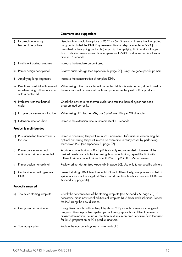#### Comments and suggestions

| i) | Incorrect denaturing<br>temperature or time                                                | Denaturation should take place at 95°C for 5-10 seconds. Ensure that the cycling<br>program included the DNA Polymerase activation step (2 minutes at 95°C) as<br>described in the cycling protocols (page 14). If amplifying PCR products longer<br>than 1 kb, decrease denaturation temperature to 93°C and increase denaturation<br>time to 15 seconds. |
|----|--------------------------------------------------------------------------------------------|------------------------------------------------------------------------------------------------------------------------------------------------------------------------------------------------------------------------------------------------------------------------------------------------------------------------------------------------------------|
| i) | Insufficient starting template                                                             | Increase the template amount used.                                                                                                                                                                                                                                                                                                                         |
| k) | Primer design not optimal                                                                  | Review primer design (see Appendix B, page 20). Only use gene-specific primers.                                                                                                                                                                                                                                                                            |
| I) | Amplifying long fragments                                                                  | Increase the concentration of template DNA.                                                                                                                                                                                                                                                                                                                |
|    | m) Reactions overlaid with mineral<br>oil when using a thermal cycler<br>with a heated lid | When using a thermal cycler with a heated lid that is switched on, do not overlay<br>the reactions with mineral oil as this may decrease the yield of PCR products.                                                                                                                                                                                        |
|    | n) Problems with the thermal<br>cycler                                                     | Check the power to the thermal cycler and that the thermal cycler has been<br>programmed correctly.                                                                                                                                                                                                                                                        |
| o) | Enzyme concentrations too low                                                              | When using UCP Master Mix, use 5 µl Master Mix per 20 µl reaction.                                                                                                                                                                                                                                                                                         |
| p) | Extension time too short                                                                   | Increase the extension time in increments of 10 seconds.                                                                                                                                                                                                                                                                                                   |
|    | <b>Product is multi-banded</b>                                                             |                                                                                                                                                                                                                                                                                                                                                            |
|    | q) PCR annealing temperature is<br>too low                                                 | Increase annealing temperature in 2°C increments. Difficulties in determining the<br>optimal annealing temperature can be overcome in many cases by performing<br>touchdown PCR (see Appendix E, page 27).                                                                                                                                                 |
| r) | Primer concentration not<br>optimal or primers degraded                                    | A primer concentration of 0.25 µM is strongly recommended. However, if the<br>desired results are not obtained using this concentration, repeat the PCR with<br>different primer concentrations from 0.25-1.0 µM in 0.1 µM increments.                                                                                                                     |
| s) | Primer design not optimal                                                                  | Review primer design (see Appendix B, page 20). Use only target-specific primers.                                                                                                                                                                                                                                                                          |
| t) | Contamination with genomic<br><b>DNA</b>                                                   | Pretreat starting cDNA template with DNase I. Alternatively, use primers located at<br>splice junctions of the target mRNA to avoid amplification from genomic DNA (see<br>Appendix B, page 20).                                                                                                                                                           |
|    | Product is smeared                                                                         |                                                                                                                                                                                                                                                                                                                                                            |
|    | u) Too much starting template                                                              | Check the concentration of the starting template (see Appendix A, page 20). If<br>necessary, make new serial dilutions of template DNA from stock solutions. Repeat<br>the PCR using the new dilutions.                                                                                                                                                    |
| V) | Carry-over contamination                                                                   | If negative controls (without template) show PCR products or smears, change all<br>reagents. Use disposable pipette tips containing hydrophobic filters to minimize<br>cross-contamination. Set up all reaction mixtures in an area separate from that used<br>for DNA preparation or PCR product analysis.                                                |
|    | w) Too many cycles                                                                         | Reduce the number of cycles in increments of 3.                                                                                                                                                                                                                                                                                                            |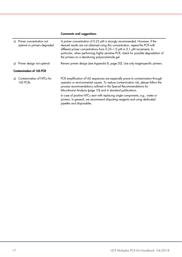#### Comments and suggestions

| x) Primer concentration not<br>optimal or primers degraded | A primer concentration of 0.25 µM is strongly recommended. However, if the<br>desired results are not obtained using this concentration, repeat the PCR with<br>different primer concentrations from 0.25-1.0 µM in 0.1 µM increments. In<br>particular, when performing highly sensitive PCR, check for possible degradation of<br>the primers on a denaturing polyacrylamide gel.                                                                                                                      |  |  |  |  |
|------------------------------------------------------------|----------------------------------------------------------------------------------------------------------------------------------------------------------------------------------------------------------------------------------------------------------------------------------------------------------------------------------------------------------------------------------------------------------------------------------------------------------------------------------------------------------|--|--|--|--|
| y) Primer design not optimal                               | Review primer design (see Appendix B, page 20). Use only target-specific primers.                                                                                                                                                                                                                                                                                                                                                                                                                        |  |  |  |  |
| <b>Contamination of 16S PCR</b>                            |                                                                                                                                                                                                                                                                                                                                                                                                                                                                                                          |  |  |  |  |
| z) Contamination of NTCs for<br>16S PCRs                   | PCR amplification of 16S sequences are especially prone to contamination through<br>operator or environmental causes. To reduce contamination risk, please follow the<br>process recommendations outlined in the Special Recommendations for<br>Microbiome Analysis (page 10) and in standard publications.<br>In case of positive NTCs start with replacing single components, e.g., water or<br>primers. In general, we recommend aliquoting reagents and using dedicated<br>pipettes and disposables. |  |  |  |  |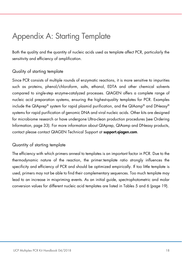### Appendix A: Starting Template

Both the quality and the quantity of nucleic acids used as template affect PCR, particularly the sensitivity and efficiency of amplification.

### Quality of starting template

Since PCR consists of multiple rounds of enzymatic reactions, it is more sensitive to impurities such as proteins, phenol/chloroform, salts, ethanol, EDTA and other chemical solvents compared to single-step enzyme-catalyzed processes. QIAGEN offers a complete range of nucleic acid preparation systems, ensuring the highest-quality templates for PCR. Examples include the QIAprep® system for rapid plasmid purification, and the QIAamp® and DNeasy® systems for rapid purification of genomic DNA and viral nucleic acids. Other kits are designed for microbiome research or have undergone Ultra-clean production procedures (see Ordering Information, page 33). For more information about QIAprep, QIAamp and DNeasy products, contact please contact QIAGEN Technical Support at support.giagen.com.

#### Quantity of starting template

The efficiency with which primers anneal to templates is an important factor in PCR. Due to the thermodynamic nature of the reaction, the primer:template ratio strongly influences the specificity and efficiency of PCR and should be optimized empirically. If too little template is used, primers may not be able to find their complementary sequences. Too much template may lead to an increase in mispriming events. As an initial guide, spectrophotometric and molar conversion values for different nucleic acid templates are listed in Tables 5 and 6 (page 19).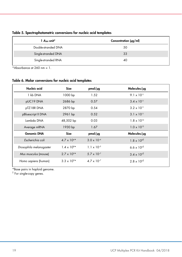| $1$ $A_{260}$ unit* | Concentration $\frac{\mu q}{m}$ |
|---------------------|---------------------------------|
| Double-stranded DNA | 50                              |
| Single-stranded DNA | 33                              |
| Single-stranded RNA | 40                              |

Table 5. Spectrophotometric conversions for nucleic acid templates

\*Absorbance at  $260 \text{ nm} = 1$ .

#### Table 6. Molar conversions for nucleic acid templates

| Nucleic acid            | Size                 | pmol/pg              | $Molecules/\mu g$    |
|-------------------------|----------------------|----------------------|----------------------|
| 1 kb DNA                | 1000 bp              | 1.52                 | $9.1 \times 10^{11}$ |
| pUC19 DNA               | 2686 bp              | 0.57                 | $3.4 \times 10^{11}$ |
| pTZ18R DNA              | 2870 bp              | 0.54                 | $3.2 \times 10^{11}$ |
| pBluescript II DNA      | 2961 bp              | 0.52                 | $3.1 \times 10^{11}$ |
| Lambda DNA              | 48,502 bp            | 0.03                 | $1.8 \times 10^{10}$ |
| Average mRNA            | 1930 bp              | 1.67                 | $1.0 \times 10^{12}$ |
| <b>Genomic DNA</b>      | Size                 | pmol/pg              | $Molecules/\mu g$    |
| Escherichia coli        | $4.7 \times 10^{6*}$ | $3.0 \times 10^{-4}$ | $1.8 \times 10^{8}$  |
| Drosophila melanogaster | $1.4 \times 10^{8*}$ | $1.1 \times 10^{-5}$ | 6.6 x $10^{5}$       |
| Mus musculus (mouse)    | $2.7 \times 10^{9*}$ | $5.7 \times 10^{-7}$ | $3.4 \times 10^{5}$  |
| Homo sapiens (human)    | $3.3 \times 10^{9*}$ | $4.7 \times 10^{-7}$ | $2.8 \times 10^{5}$  |

\*Base pairs in haploid genome.

† For single-copy genes.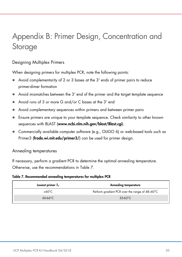# Appendix B: Primer Design, Concentration and Storage

#### Designing Multiplex Primers

When designing primers for multiplex PCR, note the following points:

- Avoid complementarity of 2 or 3 bases at the 3' ends of primer pairs to reduce primer-dimer formation
- Avoid mismatches between the 3' end of the primer and the target template sequence
- Avoid runs of 3 or more G and/or C bases at the 3' end
- Avoid complementary sequences within primers and between primer pairs
- Ensure primers are unique to your template sequence. Check similarity to other known sequences with BLAST (www.ncbi.nlm.nih.gov/blast/Blast.cgi).
- Commercially available computer software (e.g., OLIGO 6) or web-based tools such as Primer3 (frodo.wi.mit.edu/primer3/) can be used for primer design.

#### Annealing temperatures

If necessary, perform a gradient PCR to determine the optimal annealing temperature. Otherwise, use the recommendations in Table 7.

#### Table 7. Recommended annealing temperatures for multiplex PCR

| Lowest primer $T_m$ | Annealing temperature                          |
|---------------------|------------------------------------------------|
| <60°C               | Perform gradient PCR over the range of 48-60°C |
| $60-66^{\circ}C$    | 53-63 $°C$                                     |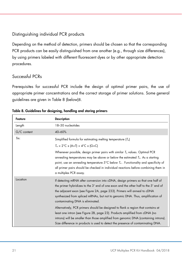### Distinguishing individual PCR products

Depending on the method of detection, primers should be chosen so that the corresponding PCR products can be easily distinguished from one another (e.g., through size differences), by using primers labeled with different fluorescent dyes or by other appropriate detection procedures.

### Successful PCRs

Prerequisites for successful PCR include the design of optimal primer pairs, the use of appropriate primer concentrations and the correct storage of primer solutions. Some general guidelines are given in Table 8 (below)8.

| Feature     | <b>Description</b>                                                                                                                                                                                                                                                                                                                                                                    |
|-------------|---------------------------------------------------------------------------------------------------------------------------------------------------------------------------------------------------------------------------------------------------------------------------------------------------------------------------------------------------------------------------------------|
| Length      | 18-30 nucleotides                                                                                                                                                                                                                                                                                                                                                                     |
| G/C content | 40-60%                                                                                                                                                                                                                                                                                                                                                                                |
| $Tm$ :      | Simplified formula for estimating melting temperature $(T_m)$                                                                                                                                                                                                                                                                                                                         |
|             | $T_m = 2^{\circ}C \times (A+T) + 4^{\circ}C \times (G+C)$                                                                                                                                                                                                                                                                                                                             |
|             | Whenever possible, design primer pairs with similar $T_m$ values. Optimal PCR<br>annealing temperatures may be above or below the estimated $Tm$ . As a starting<br>point, use an annealing temperature $5^{\circ}$ C below $T_m$ . Functionality and specificity of<br>all primer pairs should be checked in individual reactions before combining them in<br>a multiplex PCR assay. |
| Location    | If detecting mRNA after conversion into cDNA, design primers so that one half of<br>the primer hybridizes to the 3' end of one exon and the other half to the 5' end of<br>the adjacent exon (see Figure 2A, page 233). Primers will anneal to cDNA<br>synthesized from spliced mRNAs, but not to genomic DNA. Thus, amplification of<br>contaminating DNA is eliminated.             |
|             | Alternatively, PCR primers should be designed to flank a region that contains at<br>least one intron (see Figure 2B, page 23). Products amplified from cDNA (no<br>introns) will be smaller than those amplified from genomic DNA (containing introns).<br>Size difference in products is used to detect the presence of contaminating DNA.                                           |

|  |  | Table 8. Guidelines for designing, handling and storing primers |  |  |
|--|--|-----------------------------------------------------------------|--|--|
|  |  |                                                                 |  |  |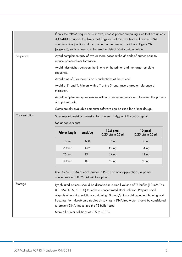|               |                                                | If only the mRNA sequence is known, choose primer annealing sites that are at least<br>300-400 bp apart. It is likely that fragments of this size from eukaryotic DNA<br>contain splice junctions. As explained in the previous point and Figure 2B<br>(page 23), such primers can be used to detect DNA contamination. |                                                                               |                                                                                |  |  |  |
|---------------|------------------------------------------------|-------------------------------------------------------------------------------------------------------------------------------------------------------------------------------------------------------------------------------------------------------------------------------------------------------------------------|-------------------------------------------------------------------------------|--------------------------------------------------------------------------------|--|--|--|
| Sequence      |                                                | Avoid complementarity of two or more bases at the 3' ends of primer pairs to<br>reduce primer-dimer formation.                                                                                                                                                                                                          |                                                                               |                                                                                |  |  |  |
|               | sequence.                                      |                                                                                                                                                                                                                                                                                                                         | Avoid mismatches between the 3' end of the primer and the target-template     |                                                                                |  |  |  |
|               |                                                |                                                                                                                                                                                                                                                                                                                         | Avoid runs of 3 or more G or C nucleotides at the 3' end.                     |                                                                                |  |  |  |
|               | mismatch.                                      |                                                                                                                                                                                                                                                                                                                         | Avoid a 3'- end T. Primers with a T at the 3' end have a greater tolerance of |                                                                                |  |  |  |
|               | of a primer pair.                              |                                                                                                                                                                                                                                                                                                                         |                                                                               | Avoid complementary sequences within a primer sequence and between the primers |  |  |  |
|               |                                                |                                                                                                                                                                                                                                                                                                                         | Commercially available computer software can be used for primer design.       |                                                                                |  |  |  |
| Concentration |                                                | Spectrophotometric conversion for primers: 1 $A_{260}$ unit $\equiv$ 20-30 $\mu$ g/ml<br>Molar conversions:                                                                                                                                                                                                             |                                                                               |                                                                                |  |  |  |
|               | Primer length                                  | pmol/pg                                                                                                                                                                                                                                                                                                                 | 12.5 pmol<br>$(0.25 \mu M \text{ in } 25 \mu)$                                | 10 pmol<br>(0.25 µM in 20 µl)                                                  |  |  |  |
|               |                                                | 168                                                                                                                                                                                                                                                                                                                     | 37 ng                                                                         | 30 ng                                                                          |  |  |  |
|               | 18 <sub>mer</sub>                              |                                                                                                                                                                                                                                                                                                                         |                                                                               |                                                                                |  |  |  |
|               | 20 <sub>mer</sub>                              | 152                                                                                                                                                                                                                                                                                                                     | 42 <sub>ng</sub>                                                              | 34 <sub>ng</sub>                                                               |  |  |  |
|               | 25mer                                          | 121                                                                                                                                                                                                                                                                                                                     | 52 ng                                                                         | 41 <sub>ng</sub>                                                               |  |  |  |
|               | 30 <sub>mer</sub>                              | 101                                                                                                                                                                                                                                                                                                                     | 62 ng                                                                         | 50 <sub>ng</sub>                                                               |  |  |  |
|               | concentration of 0.25 $\mu$ M will be optimal. |                                                                                                                                                                                                                                                                                                                         | Use 0.25-1.0 µM of each primer in PCR. For most applications, a primer        |                                                                                |  |  |  |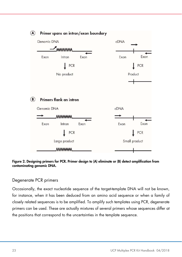

#### Figure 2. Designing primers for PCR. Primer design to (A) eliminate or (B) detect amplification from contaminating genomic DNA.

#### Degenerate PCR primers

Occasionally, the exact nucleotide sequence of the target-template DNA will not be known, for instance, when it has been deduced from an amino acid sequence or when a family of closely related sequences is to be amplified. To amplify such templates using PCR, degenerate primers can be used. These are actually mixtures of several primers whose sequences differ at the positions that correspond to the uncertainties in the template sequence.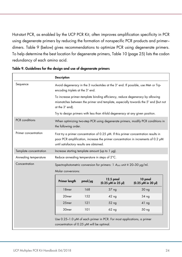Hot-start PCR, as enabled by the UCP PCR Kit, often improves amplification specificity in PCR using degenerate primers by reducing the formation of nonspecific PCR products and primer– dimers. Table 9 (below) gives recommendations to optimize PCR using degenerate primers. To help determine the best location for degenerate primers, Table 10 (page 25) lists the codon redundancy of each amino acid.

|                        | <b>Description</b>                                                                                                     |                                                                                                                                                                                                                             |                                                                               |                                              |  |  |  |
|------------------------|------------------------------------------------------------------------------------------------------------------------|-----------------------------------------------------------------------------------------------------------------------------------------------------------------------------------------------------------------------------|-------------------------------------------------------------------------------|----------------------------------------------|--|--|--|
| Sequence               | Avoid degeneracy in the 3 nucleotides at the 3' end. If possible, use Met- or Trp-<br>encoding triplets at the 3' end. |                                                                                                                                                                                                                             |                                                                               |                                              |  |  |  |
|                        | at the 3' end).                                                                                                        | To increase primer-template binding efficiency, reduce degeneracy by allowing<br>mismatches between the primer and template, especially towards the 5' end (but not                                                         |                                                                               |                                              |  |  |  |
|                        |                                                                                                                        |                                                                                                                                                                                                                             | Try to design primers with less than 4-fold degeneracy at any given position. |                                              |  |  |  |
| <b>PCR</b> conditions  |                                                                                                                        | When optimizing two-step PCR using degenerate primers, modify PCR conditions in<br>the following order.                                                                                                                     |                                                                               |                                              |  |  |  |
| Primer concentration   |                                                                                                                        | First try a primer concentration of $0.25 \mu M$ . If this primer concentration results in<br>poor PCR amplification, increase the primer concentration in increments of 0.2 µM<br>until satisfactory results are obtained. |                                                                               |                                              |  |  |  |
| Template concentration |                                                                                                                        | Increase starting template amount (up to 1 µg).                                                                                                                                                                             |                                                                               |                                              |  |  |  |
| Annealing temperature  |                                                                                                                        | Reduce annealing temperature in steps of 2°C.                                                                                                                                                                               |                                                                               |                                              |  |  |  |
| Concentration          | Spectrophotometric conversion for primers: $1 A_{260}$ unit $\equiv 20-30$ µg/ml.                                      |                                                                                                                                                                                                                             |                                                                               |                                              |  |  |  |
|                        | Molar conversions:                                                                                                     |                                                                                                                                                                                                                             |                                                                               |                                              |  |  |  |
|                        | Primer length                                                                                                          | pmol/pg                                                                                                                                                                                                                     | 12.5 pmol<br>$(0.25 \mu M \text{ in } 25 \mu)$                                | 10 pmol<br>$(0.25 \mu M \text{ in } 20 \mu)$ |  |  |  |
|                        | 18 <sub>mer</sub>                                                                                                      | 168                                                                                                                                                                                                                         | 37 <sub>ng</sub>                                                              | 30 ng                                        |  |  |  |
|                        | 20 <sub>mer</sub>                                                                                                      | 152                                                                                                                                                                                                                         | 42 <sub>ng</sub>                                                              | 34 ng                                        |  |  |  |
|                        | 25mer                                                                                                                  | 121                                                                                                                                                                                                                         | 52 <sub>ng</sub>                                                              | 41 <sub>ng</sub>                             |  |  |  |
|                        |                                                                                                                        | 101                                                                                                                                                                                                                         | 62 ng                                                                         | 50 ng                                        |  |  |  |

|  |  |  | Table 9. Guidelines for the design and use of degenerate primers |
|--|--|--|------------------------------------------------------------------|
|  |  |  |                                                                  |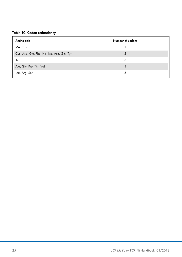#### Table 10. Codon redundancy

| Amino acid                                  | Number of codons |
|---------------------------------------------|------------------|
| Met, Trp                                    |                  |
| Cys, Asp, Glu, Phe, His, Lys, Asn, Gln, Tyr | $\overline{2}$   |
| lle                                         | 3                |
| Ala, Gly, Pro, Thr, Val                     | 4                |
| Leu, Arg, Ser                               | 6                |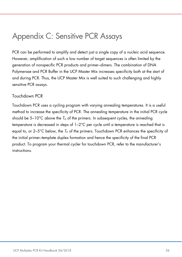### Appendix C: Sensitive PCR Assays

PCR can be performed to amplify and detect just a single copy of a nucleic acid sequence. However, amplification of such a low number of target sequences is often limited by the generation of nonspecific PCR products and primer–dimers. The combination of DNA Polymerase and PCR Buffer in the UCP Master Mix increases specificity both at the start of and during PCR. Thus, the UCP Master Mix is well suited to such challenging and highly sensitive PCR assays.

#### Touchdown PCR

Touchdown PCR uses a cycling program with varying annealing temperatures. It is a useful method to increase the specificity of PCR. The annealing temperature in the initial PCR cycle should be  $5-10^{\circ}$ C above the  $T_m$  of the primers. In subsequent cycles, the annealing temperature is decreased in steps of 1–2°C per cycle until a temperature is reached that is equal to, or  $2-5^{\circ}$ C below, the  $T_m$  of the primers. Touchdown PCR enhances the specificity of the initial primer–template duplex formation and hence the specificity of the final PCR product. To program your thermal cycler for touchdown PCR, refer to the manufacturer's instructions.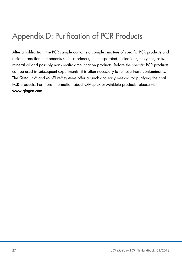## Appendix D: Purification of PCR Products

After amplification, the PCR sample contains a complex mixture of specific PCR products and residual reaction components such as primers, unincorporated nucleotides, enzymes, salts, mineral oil and possibly nonspecific amplification products. Before the specific PCR products can be used in subsequent experiments, it is often necessary to remove these contaminants. The QIAquick® and MinElute® systems offer a quick and easy method for purifying the final PCR products. For more information about QIAquick or MinElute products, please visit www.qiagen.com.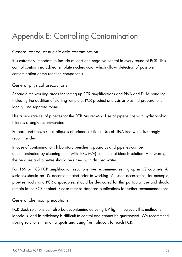# Appendix E: Controlling Contamination

### General control of nucleic acid contamination

It is extremely important to include at least one negative control in every round of PCR. This control contains no added template nucleic acid, which allows detection of possible contamination of the reaction components.

### General physical precautions

Separate the working areas for setting up PCR amplifications and RNA and DNA handling, including the addition of starting template, PCR product analysis or plasmid preparation. Ideally, use separate rooms.

Use a separate set of pipettes for the PCR Master Mix. Use of pipette tips with hydrophobic filters is strongly recommended.

Prepare and freeze small aliquots of primer solutions. Use of DNA-free water is strongly recommended.

In case of contamination, laboratory benches, apparatus and pipettes can be decontaminated by cleaning them with 10% (v/v) commercial bleach solution. Afterwards, the benches and pipettes should be rinsed with distilled water.

For 16S or 18S PCR amplification reactions, we recommend setting up in UV cabinets. All surfaces should be UV decontaminated prior to working. All used accessories, for example, pipettes, racks and PCR disposables, should be dedicated for this particular use and should remain in the PCR cabinet. Please refer to standard publications for further recommendations.

#### General chemical precautions

PCR stock solutions can also be decontaminated using UV light. However, this method is laborious, and its efficiency is difficult to control and cannot be guaranteed. We recommend storing solutions in small aliquots and using fresh aliquots for each PCR.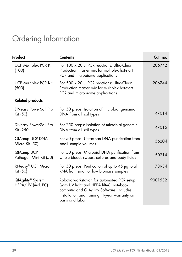# Ordering Information

| Product                                  | <b>Contents</b>                                                                                                                                                                                           | Cat. no. |
|------------------------------------------|-----------------------------------------------------------------------------------------------------------------------------------------------------------------------------------------------------------|----------|
| <b>UCP Multiplex PCR Kit</b><br>(100)    | For 100 x 20 µl PCR reactions: Ultra-Clean<br>Production master mix for multiplex hot-start<br>PCR and microbiome applications                                                                            | 206742   |
| <b>UCP Multiplex PCR Kit</b><br>(500)    | For 500 x 20 µl PCR reactions: Ultra-Clean<br>Production master mix for multiplex hot-start<br>PCR and microbiome applications                                                                            | 206744   |
| <b>Related products</b>                  |                                                                                                                                                                                                           |          |
| <b>DNeasy PowerSoil Pro</b><br>Kit (50)  | For 50 preps: Isolation of microbial genomic<br>DNA from all soil types                                                                                                                                   | 47014    |
| <b>DNeasy PowerSoil Pro</b><br>Kit (250) | For 250 preps: Isolation of microbial genomic<br>DNA from all soil types                                                                                                                                  | 47016    |
| QIAamp UCP DNA<br>Micro Kit (50)         | For 50 preps: Ultraclean DNA purification from<br>small sample volumes                                                                                                                                    | 56204    |
| QIAamp UCP<br>Pathogen Mini Kit (50)     | For 50 preps: Microbial DNA purification from<br>whole blood, swabs, cultures and body fluids                                                                                                             | 50214    |
| RNeasy® UCP Micro<br>Kit (50)            | For 50 preps: Purification of up to 45 µg total<br>RNA from small or low biomass samples                                                                                                                  | 73934    |
| QIAgility® System<br>HEPA/UV (incl. PC)  | Robotic workstation for automated PCR setup<br>(with UV light and HEPA filter), notebook<br>computer and QIAgility Software: includes<br>installation and training, 1-year warranty on<br>parts and labor | 9001532  |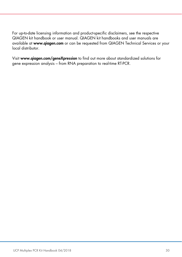For up-to-date licensing information and product-specific disclaimers, see the respective QIAGEN kit handbook or user manual. QIAGEN kit handbooks and user manuals are available at www.qiagen.com or can be requested from QIAGEN Technical Services or your local distributor.

Visit www.qiagen.com/geneXpression to find out more about standardized solutions for gene expression analysis – from RNA preparation to real-time RT-PCR.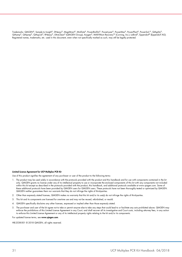Trademarks: QIAGEN®, Sample to Insight®, DNeasy®, MagAttract®, MinElute®, PowerBiofilm®, PowerLyzer®, PowerMax®, PowerPlant®, PowerSoil ®, QIAgility®, QIAamp®, QIAprep®, QIAquick®, RNeasy®, UltraClean® (QIAGEN Group); Axygen®, MAXYMum Recovery™ (Corning, Inc.); LoBind®, Eppendorf® (Eppendorf AG). Registered names, trademarks, etc. used in this document, even when not specifically marked as such, may still be legally protected.

#### Limited License Agreement for UCP Multiplex PCR Kit

Use of this product signifies the agreement of any purchaser or user of the product to the following terms:

- 1. The product may be used solely in accordance with the protocols provided with the product and this handbook and for use with components contained in the kit only. QIAGEN grants no license under any of its intellectual property to use or incorporate the enclosed components of this kit with any components not included within this kit except as described in the protocols provided with the product, this handbook, and additional protocols available at www.qiagen.com. Some of these additional protocols have been provided by QIAGEN users for QIAGEN users. These protocols have not been thoroughly tested or optimized by QIAGEN. QIAGEN neither guarantees them nor warrants that they do not infringe the rights of third-parties.
- 2. Other than expressly stated licenses, QIAGEN makes no warranty that this kit and/or its use(s) do not infringe the rights of third-parties.
- 3. This kit and its components are licensed for one-time use and may not be reused, refurbished, or resold.
- 4. QIAGEN specifically disclaims any other licenses, expressed or implied other than those expressly stated.
- 5. The purchaser and user of the kit agree not to take or permit anyone else to take any steps that could lead to or facilitate any acts prohibited above. QIAGEN may<br>enforce the prohibitions of this Limited License Agreeme to enforce this Limited License Agreement or any of its intellectual property rights relating to the kit and/or its components.

For updated license terms, see www.qiagen.com

HB-2538-001 © 2018 QIAGEN, all rights reserved.